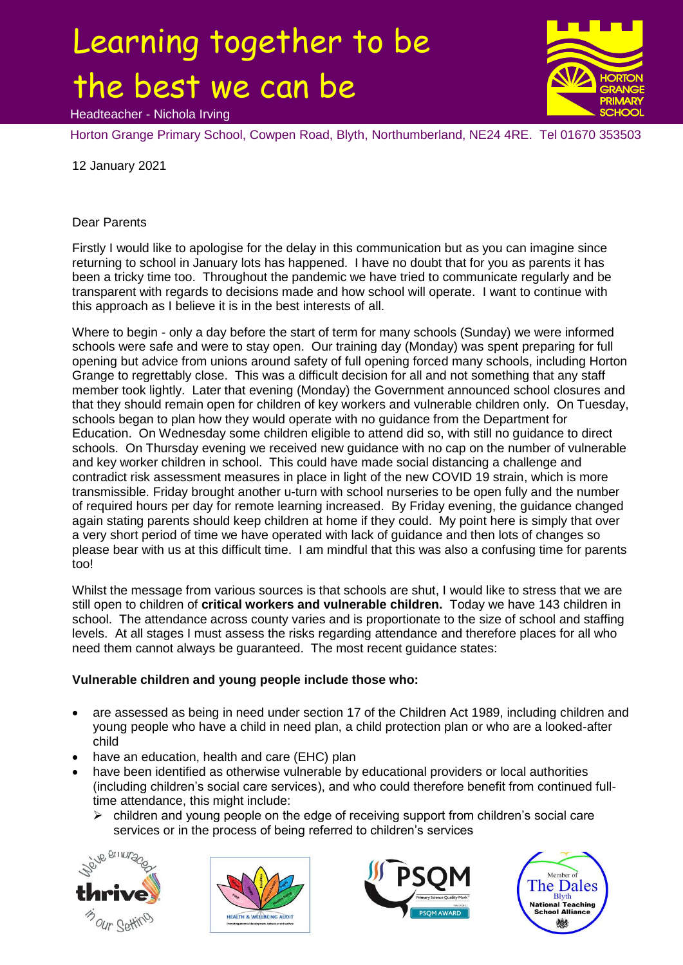## Learning together to be the best we can be



Headteacher - Nichola Irving

Horton Grange Primary School, Cowpen Road, Blyth, Northumberland, NE24 4RE. Tel 01670 353503

12 January 2021

## Dear Parents

Firstly I would like to apologise for the delay in this communication but as you can imagine since returning to school in January lots has happened. I have no doubt that for you as parents it has been a tricky time too. Throughout the pandemic we have tried to communicate regularly and be transparent with regards to decisions made and how school will operate. I want to continue with this approach as I believe it is in the best interests of all.

Where to begin - only a day before the start of term for many schools (Sunday) we were informed schools were safe and were to stay open. Our training day (Monday) was spent preparing for full opening but advice from unions around safety of full opening forced many schools, including Horton Grange to regrettably close. This was a difficult decision for all and not something that any staff member took lightly. Later that evening (Monday) the Government announced school closures and that they should remain open for children of key workers and vulnerable children only. On Tuesday, schools began to plan how they would operate with no guidance from the Department for Education. On Wednesday some children eligible to attend did so, with still no guidance to direct schools. On Thursday evening we received new guidance with no cap on the number of vulnerable and key worker children in school. This could have made social distancing a challenge and contradict risk assessment measures in place in light of the new COVID 19 strain, which is more transmissible. Friday brought another u-turn with school nurseries to be open fully and the number of required hours per day for remote learning increased. By Friday evening, the guidance changed again stating parents should keep children at home if they could. My point here is simply that over a very short period of time we have operated with lack of guidance and then lots of changes so please bear with us at this difficult time. I am mindful that this was also a confusing time for parents too!

Whilst the message from various sources is that schools are shut, I would like to stress that we are still open to children of **critical workers and vulnerable children.** Today we have 143 children in school. The attendance across county varies and is proportionate to the size of school and staffing levels. At all stages I must assess the risks regarding attendance and therefore places for all who need them cannot always be guaranteed. The most recent guidance states:

## **Vulnerable children and young people include those who:**

- are assessed as being in need under section 17 of the Children Act 1989, including children and young people who have a child in need plan, a child protection plan or who are a looked-after child
- have an education, health and care (EHC) plan
- have been identified as otherwise vulnerable by educational providers or local authorities (including children's social care services), and who could therefore benefit from continued fulltime attendance, this might include:
	- $\triangleright$  children and young people on the edge of receiving support from children's social care services or in the process of being referred to children's services